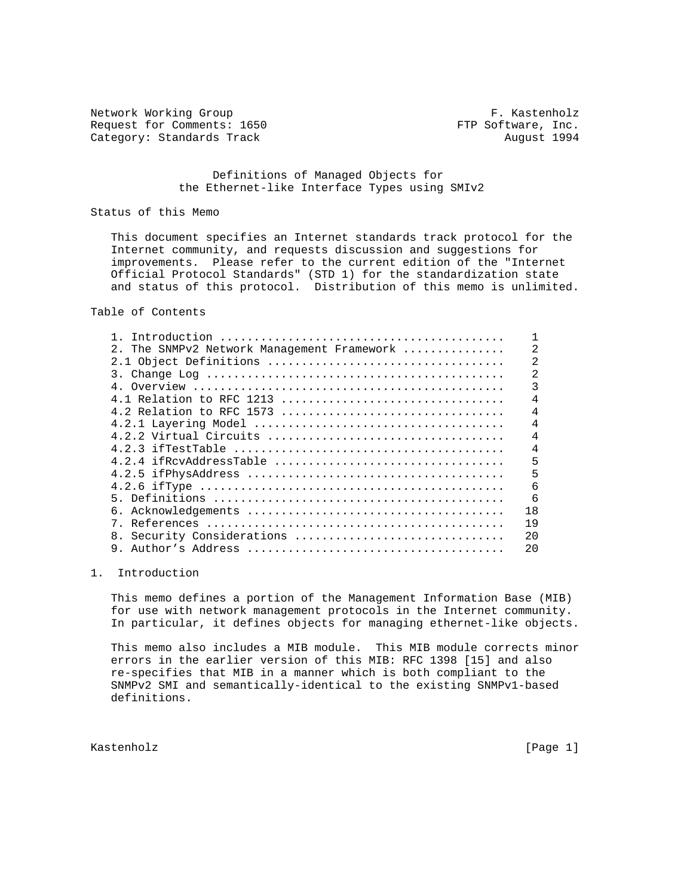Network Working Group **F. Kastenholz** Request for Comments: 1650 FTP Software, Inc. Category: Standards Track August 1994

## Definitions of Managed Objects for the Ethernet-like Interface Types using SMIv2

# Status of this Memo

 This document specifies an Internet standards track protocol for the Internet community, and requests discussion and suggestions for improvements. Please refer to the current edition of the "Internet Official Protocol Standards" (STD 1) for the standardization state and status of this protocol. Distribution of this memo is unlimited.

# Table of Contents

| 2. The SNMPv2 Network Management Framework | 2              |
|--------------------------------------------|----------------|
|                                            | $\overline{2}$ |
|                                            | $\overline{2}$ |
|                                            | 3              |
|                                            | 4              |
| 4.2 Relation to RFC 1573                   | $\overline{4}$ |
|                                            | $\overline{4}$ |
|                                            | $\overline{4}$ |
|                                            | $\overline{4}$ |
| 4.2.4 if RevAddressTable                   | 5              |
|                                            | 5              |
|                                            | 6              |
|                                            | 6              |
| 6.                                         | 18             |
|                                            | 19             |
| 8. Security Considerations                 | 20             |
| Author's Address                           | 20             |
|                                            |                |

# 1. Introduction

 This memo defines a portion of the Management Information Base (MIB) for use with network management protocols in the Internet community. In particular, it defines objects for managing ethernet-like objects.

 This memo also includes a MIB module. This MIB module corrects minor errors in the earlier version of this MIB: RFC 1398 [15] and also re-specifies that MIB in a manner which is both compliant to the SNMPv2 SMI and semantically-identical to the existing SNMPv1-based definitions.

Kastenholz [Page 1]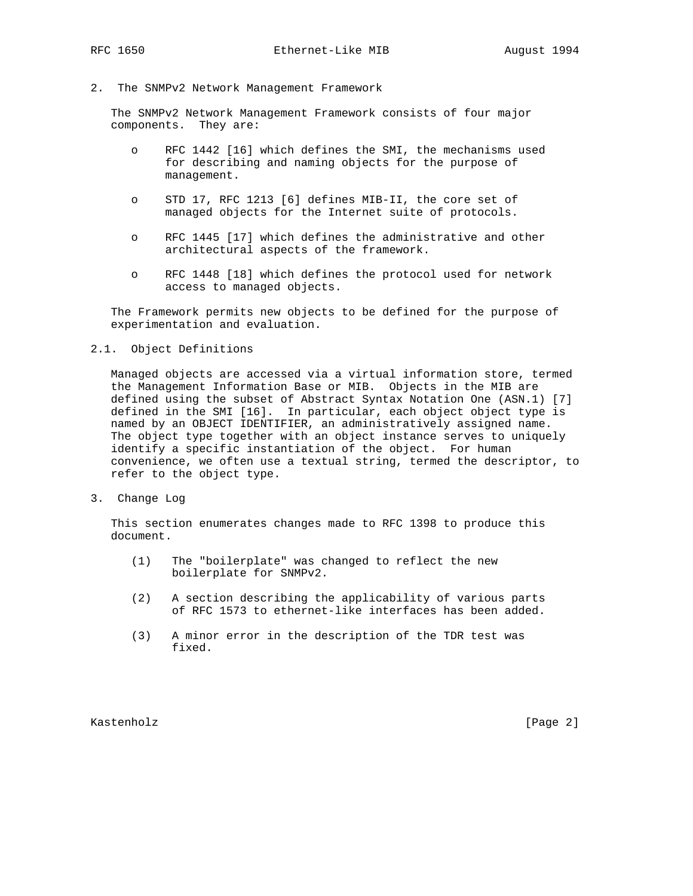2. The SNMPv2 Network Management Framework

 The SNMPv2 Network Management Framework consists of four major components. They are:

- o RFC 1442 [16] which defines the SMI, the mechanisms used for describing and naming objects for the purpose of management.
- o STD 17, RFC 1213 [6] defines MIB-II, the core set of managed objects for the Internet suite of protocols.
- o RFC 1445 [17] which defines the administrative and other architectural aspects of the framework.
- o RFC 1448 [18] which defines the protocol used for network access to managed objects.

 The Framework permits new objects to be defined for the purpose of experimentation and evaluation.

# 2.1. Object Definitions

 Managed objects are accessed via a virtual information store, termed the Management Information Base or MIB. Objects in the MIB are defined using the subset of Abstract Syntax Notation One (ASN.1) [7] defined in the SMI [16]. In particular, each object object type is named by an OBJECT IDENTIFIER, an administratively assigned name. The object type together with an object instance serves to uniquely identify a specific instantiation of the object. For human convenience, we often use a textual string, termed the descriptor, to refer to the object type.

3. Change Log

 This section enumerates changes made to RFC 1398 to produce this document.

- (1) The "boilerplate" was changed to reflect the new boilerplate for SNMPv2.
- (2) A section describing the applicability of various parts of RFC 1573 to ethernet-like interfaces has been added.
- (3) A minor error in the description of the TDR test was fixed.

Kastenholz [Page 2]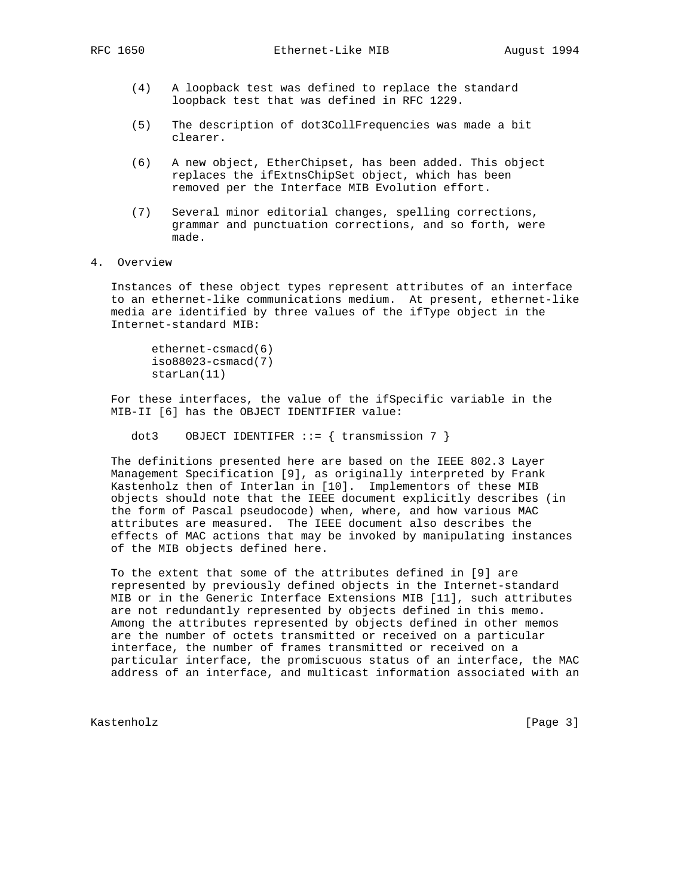- (4) A loopback test was defined to replace the standard loopback test that was defined in RFC 1229.
- (5) The description of dot3CollFrequencies was made a bit clearer.
- (6) A new object, EtherChipset, has been added. This object replaces the ifExtnsChipSet object, which has been removed per the Interface MIB Evolution effort.
- (7) Several minor editorial changes, spelling corrections, grammar and punctuation corrections, and so forth, were made.
- 4. Overview

 Instances of these object types represent attributes of an interface to an ethernet-like communications medium. At present, ethernet-like media are identified by three values of the ifType object in the Internet-standard MIB:

 ethernet-csmacd(6) iso88023-csmacd(7) starLan(11)

 For these interfaces, the value of the ifSpecific variable in the MIB-II [6] has the OBJECT IDENTIFIER value:

dot3 OBJECT IDENTIFER  $::=$  { transmission 7 }

 The definitions presented here are based on the IEEE 802.3 Layer Management Specification [9], as originally interpreted by Frank Kastenholz then of Interlan in [10]. Implementors of these MIB objects should note that the IEEE document explicitly describes (in the form of Pascal pseudocode) when, where, and how various MAC attributes are measured. The IEEE document also describes the effects of MAC actions that may be invoked by manipulating instances of the MIB objects defined here.

 To the extent that some of the attributes defined in [9] are represented by previously defined objects in the Internet-standard MIB or in the Generic Interface Extensions MIB [11], such attributes are not redundantly represented by objects defined in this memo. Among the attributes represented by objects defined in other memos are the number of octets transmitted or received on a particular interface, the number of frames transmitted or received on a particular interface, the promiscuous status of an interface, the MAC address of an interface, and multicast information associated with an

Kastenholz [Page 3]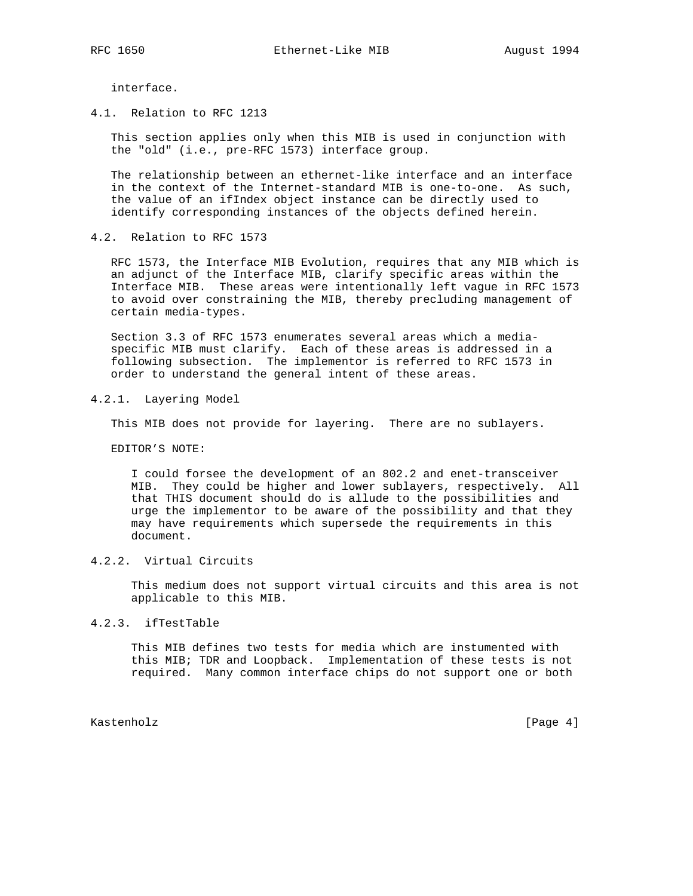interface.

4.1. Relation to RFC 1213

 This section applies only when this MIB is used in conjunction with the "old" (i.e., pre-RFC 1573) interface group.

 The relationship between an ethernet-like interface and an interface in the context of the Internet-standard MIB is one-to-one. As such, the value of an ifIndex object instance can be directly used to identify corresponding instances of the objects defined herein.

4.2. Relation to RFC 1573

 RFC 1573, the Interface MIB Evolution, requires that any MIB which is an adjunct of the Interface MIB, clarify specific areas within the Interface MIB. These areas were intentionally left vague in RFC 1573 to avoid over constraining the MIB, thereby precluding management of certain media-types.

 Section 3.3 of RFC 1573 enumerates several areas which a media specific MIB must clarify. Each of these areas is addressed in a following subsection. The implementor is referred to RFC 1573 in order to understand the general intent of these areas.

4.2.1. Layering Model

This MIB does not provide for layering. There are no sublayers.

EDITOR'S NOTE:

 I could forsee the development of an 802.2 and enet-transceiver MIB. They could be higher and lower sublayers, respectively. All that THIS document should do is allude to the possibilities and urge the implementor to be aware of the possibility and that they may have requirements which supersede the requirements in this document.

# 4.2.2. Virtual Circuits

 This medium does not support virtual circuits and this area is not applicable to this MIB.

### 4.2.3. ifTestTable

 This MIB defines two tests for media which are instumented with this MIB; TDR and Loopback. Implementation of these tests is not required. Many common interface chips do not support one or both

Kastenholz [Page 4]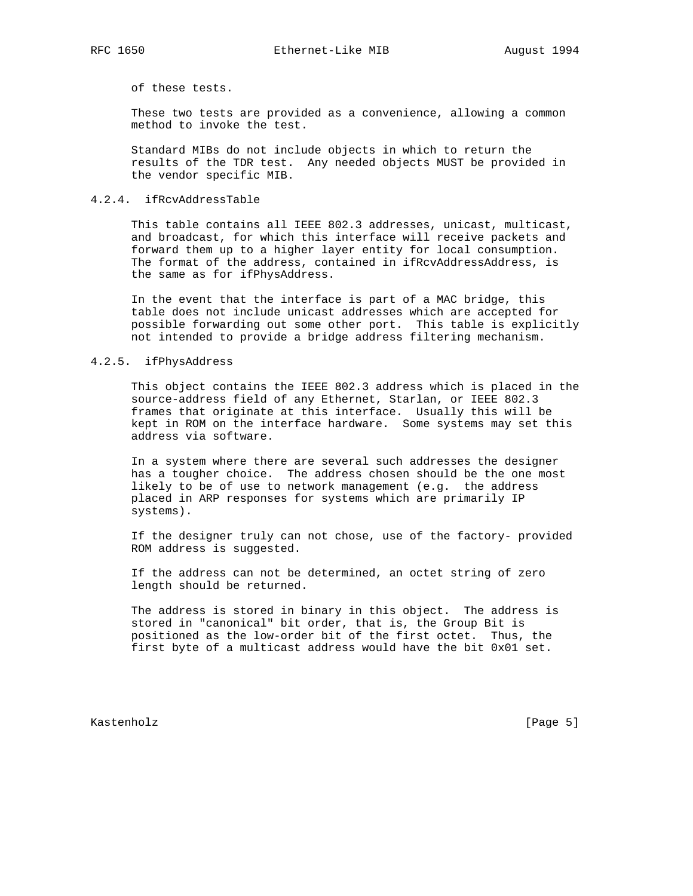of these tests.

 These two tests are provided as a convenience, allowing a common method to invoke the test.

 Standard MIBs do not include objects in which to return the results of the TDR test. Any needed objects MUST be provided in the vendor specific MIB.

## 4.2.4. ifRcvAddressTable

 This table contains all IEEE 802.3 addresses, unicast, multicast, and broadcast, for which this interface will receive packets and forward them up to a higher layer entity for local consumption. The format of the address, contained in ifRcvAddressAddress, is the same as for ifPhysAddress.

 In the event that the interface is part of a MAC bridge, this table does not include unicast addresses which are accepted for possible forwarding out some other port. This table is explicitly not intended to provide a bridge address filtering mechanism.

## 4.2.5. ifPhysAddress

 This object contains the IEEE 802.3 address which is placed in the source-address field of any Ethernet, Starlan, or IEEE 802.3 frames that originate at this interface. Usually this will be kept in ROM on the interface hardware. Some systems may set this address via software.

 In a system where there are several such addresses the designer has a tougher choice. The address chosen should be the one most likely to be of use to network management (e.g. the address placed in ARP responses for systems which are primarily IP systems).

 If the designer truly can not chose, use of the factory- provided ROM address is suggested.

 If the address can not be determined, an octet string of zero length should be returned.

 The address is stored in binary in this object. The address is stored in "canonical" bit order, that is, the Group Bit is positioned as the low-order bit of the first octet. Thus, the first byte of a multicast address would have the bit 0x01 set.

Kastenholz [Page 5]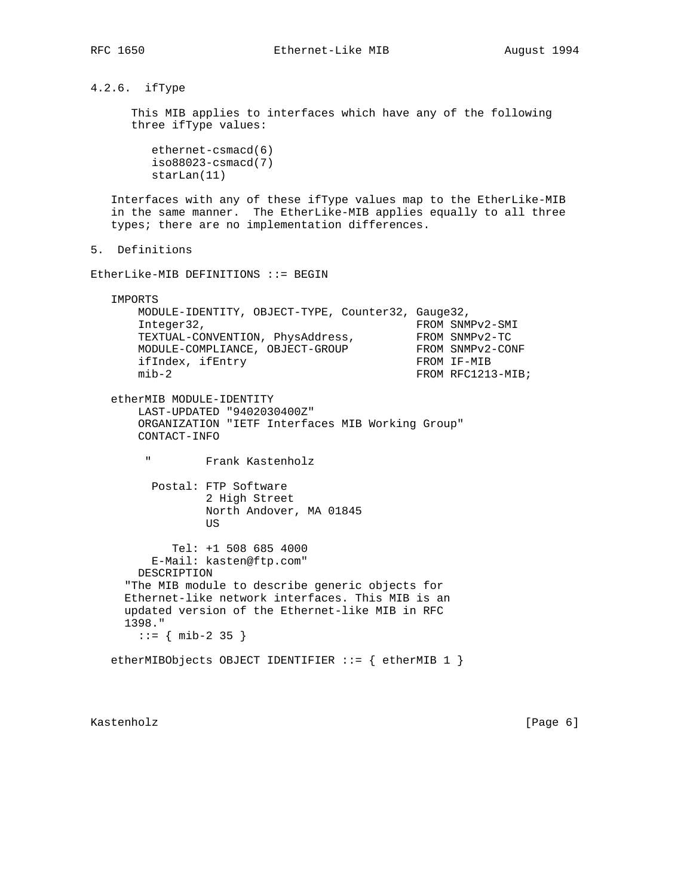# 4.2.6. ifType

 This MIB applies to interfaces which have any of the following three ifType values:

 ethernet-csmacd(6) iso88023-csmacd(7) starLan(11)

 Interfaces with any of these ifType values map to the EtherLike-MIB in the same manner. The EtherLike-MIB applies equally to all three types; there are no implementation differences.

```
5. Definitions
```
EtherLike-MIB DEFINITIONS ::= BEGIN

IMPORTS

```
 MODULE-IDENTITY, OBJECT-TYPE, Counter32, Gauge32,
Integer32, FROM SNMPv2-SMI
TEXTUAL-CONVENTION, PhysAddress, FROM SNMPv2-TC
MODULE-COMPLIANCE, OBJECT-GROUP FROM SNMPv2-CONF
ifIndex, ifEntry FROM IF-MIB
mib-2 FROM RFC1213-MIB;
```
 etherMIB MODULE-IDENTITY LAST-UPDATED "9402030400Z" ORGANIZATION "IETF Interfaces MIB Working Group" CONTACT-INFO

" Frank Kastenholz

 Postal: FTP Software 2 High Street North Andover, MA 01845 US

 Tel: +1 508 685 4000 E-Mail: kasten@ftp.com" DESCRIPTION "The MIB module to describe generic objects for Ethernet-like network interfaces. This MIB is an updated version of the Ethernet-like MIB in RFC 1398." ::= { mib-2 35 }

etherMIBObjects OBJECT IDENTIFIER ::= { etherMIB 1 }

Kastenholz [Page 6]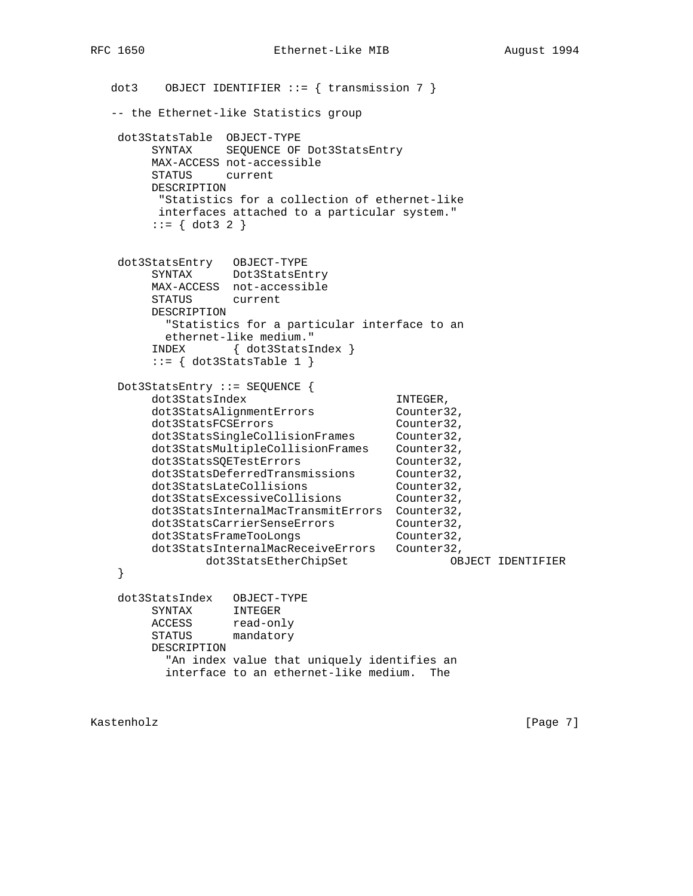```
dot3 OBJECT IDENTIFIER ::= { transmission 7 }
   -- the Ethernet-like Statistics group
    dot3StatsTable OBJECT-TYPE
        SYNTAX SEQUENCE OF Dot3StatsEntry
        MAX-ACCESS not-accessible
        STATUS current
        DESCRIPTION
        "Statistics for a collection of ethernet-like
        interfaces attached to a particular system."
       ::= \{ dot3 2 \} dot3StatsEntry OBJECT-TYPE
 SYNTAX Dot3StatsEntry
        MAX-ACCESS not-accessible
        STATUS current
        DESCRIPTION
         "Statistics for a particular interface to an
         ethernet-like medium."
        INDEX { dot3StatsIndex }
       ::= { dot3StatsTable 1 }
    Dot3StatsEntry ::= SEQUENCE {
       dot3StatsIndex INTEGER,
       dot3StatsAlignmentErrors Counter32,
dot3StatsFCSErrors Counter32,
 dot3StatsSingleCollisionFrames Counter32,
 dot3StatsMultipleCollisionFrames Counter32,
dot3StatsSQETestErrors Counter32,
 dot3StatsDeferredTransmissions Counter32,
dot3StatsLateCollisions Counter32,
dot3StatsExcessiveCollisions Counter32,
        dot3StatsInternalMacTransmitErrors Counter32,
dot3StatsCarrierSenseErrors Counter32,
dot3StatsFrameTooLongs    Gounter32,
        dot3StatsInternalMacReceiveErrors Counter32,
              dot3StatsEtherChipSet OBJECT IDENTIFIER
    }
    dot3StatsIndex OBJECT-TYPE
        SYNTAX INTEGER
 ACCESS read-only
 STATUS mandatory
        DESCRIPTION
          "An index value that uniquely identifies an
          interface to an ethernet-like medium. The
```
Kastenholz [Page 7]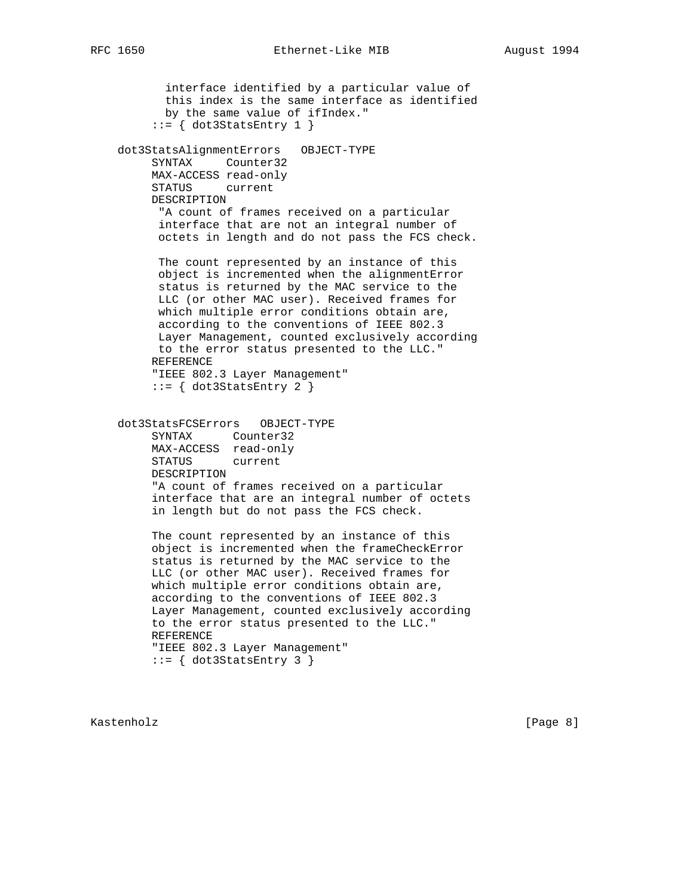interface identified by a particular value of this index is the same interface as identified by the same value of ifIndex."  $::=$  { dot3StatsEntry 1 } dot3StatsAlignmentErrors OBJECT-TYPE SYNTAX Counter32 MAX-ACCESS read-only STATUS current DESCRIPTION "A count of frames received on a particular interface that are not an integral number of octets in length and do not pass the FCS check. The count represented by an instance of this object is incremented when the alignmentError status is returned by the MAC service to the LLC (or other MAC user). Received frames for which multiple error conditions obtain are, according to the conventions of IEEE 802.3 Layer Management, counted exclusively according to the error status presented to the LLC." REFERENCE "IEEE 802.3 Layer Management"  $::=$  { dot3StatsEntry 2 } dot3StatsFCSErrors OBJECT-TYPE SYNTAX Counter32 MAX-ACCESS read-only STATUS current DESCRIPTION "A count of frames received on a particular interface that are an integral number of octets in length but do not pass the FCS check. The count represented by an instance of this object is incremented when the frameCheckError status is returned by the MAC service to the LLC (or other MAC user). Received frames for which multiple error conditions obtain are, according to the conventions of IEEE 802.3 Layer Management, counted exclusively according to the error status presented to the LLC." REFERENCE "IEEE 802.3 Layer Management"  $::=$   $\{ dot3StatsEntry 3 \}$ 

Kastenholz [Page 8]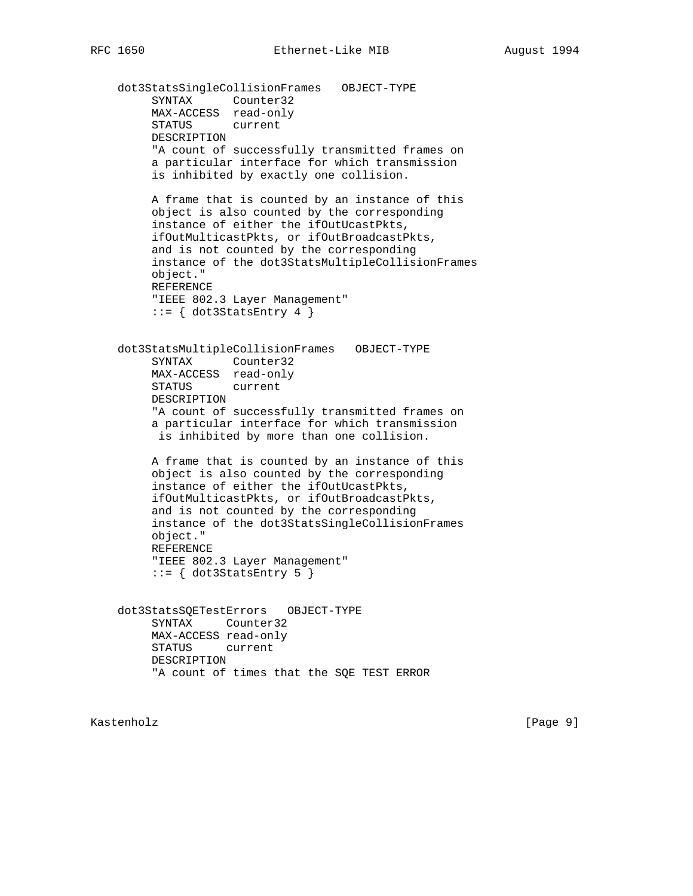dot3StatsSingleCollisionFrames OBJECT-TYPE SYNTAX Counter32 MAX-ACCESS read-only STATUS current DESCRIPTION "A count of successfully transmitted frames on a particular interface for which transmission is inhibited by exactly one collision. A frame that is counted by an instance of this object is also counted by the corresponding instance of either the ifOutUcastPkts, ifOutMulticastPkts, or ifOutBroadcastPkts, and is not counted by the corresponding instance of the dot3StatsMultipleCollisionFrames object." REFERENCE "IEEE 802.3 Layer Management"  $::=$  { dot3StatsEntry 4 } dot3StatsMultipleCollisionFrames OBJECT-TYPE SYNTAX Counter32 MAX-ACCESS read-only STATUS current DESCRIPTION "A count of successfully transmitted frames on a particular interface for which transmission is inhibited by more than one collision. A frame that is counted by an instance of this object is also counted by the corresponding instance of either the ifOutUcastPkts, ifOutMulticastPkts, or ifOutBroadcastPkts,

 and is not counted by the corresponding instance of the dot3StatsSingleCollisionFrames object." REFERENCE "IEEE 802.3 Layer Management"

 $::=$  { dot3StatsEntry 5 }

 dot3StatsSQETestErrors OBJECT-TYPE SYNTAX Counter32 MAX-ACCESS read-only STATUS current DESCRIPTION "A count of times that the SQE TEST ERROR

Kastenholz [Page 9]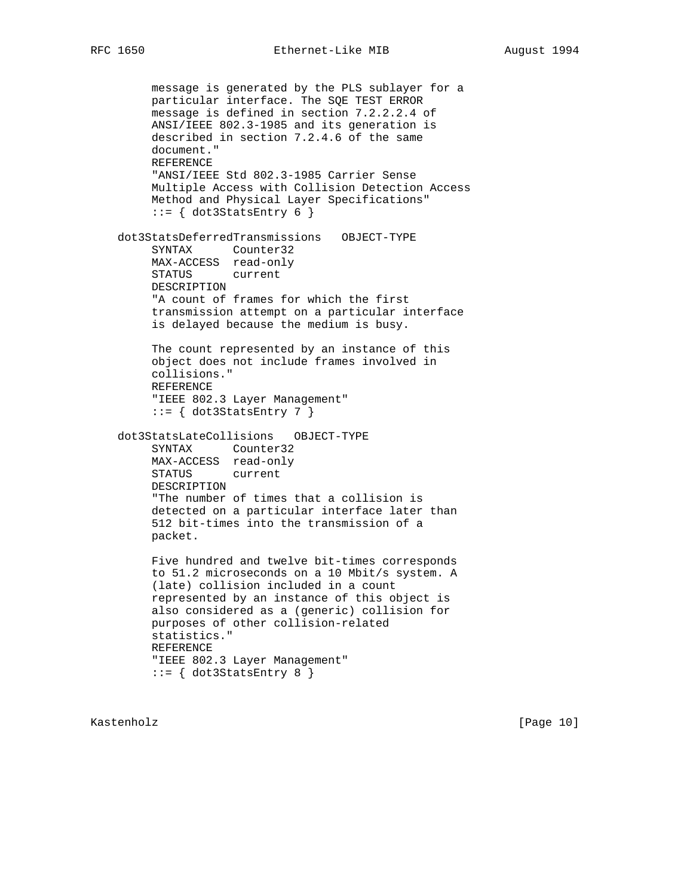```
 message is generated by the PLS sublayer for a
      particular interface. The SQE TEST ERROR
      message is defined in section 7.2.2.2.4 of
      ANSI/IEEE 802.3-1985 and its generation is
      described in section 7.2.4.6 of the same
      document."
      REFERENCE
      "ANSI/IEEE Std 802.3-1985 Carrier Sense
      Multiple Access with Collision Detection Access
      Method and Physical Layer Specifications"
     ::= \{ dot3StatsEntry 6 \} dot3StatsDeferredTransmissions OBJECT-TYPE
      SYNTAX Counter32
     MAX-ACCESS read-only
      STATUS current
      DESCRIPTION
      "A count of frames for which the first
      transmission attempt on a particular interface
      is delayed because the medium is busy.
      The count represented by an instance of this
      object does not include frames involved in
      collisions."
     REFERENCE
      "IEEE 802.3 Layer Management"
     ::= { dot3StatsEntry 7 }
 dot3StatsLateCollisions OBJECT-TYPE
      SYNTAX Counter32
      MAX-ACCESS read-only
      STATUS current
     DESCRIPTION
      "The number of times that a collision is
      detected on a particular interface later than
      512 bit-times into the transmission of a
      packet.
      Five hundred and twelve bit-times corresponds
      to 51.2 microseconds on a 10 Mbit/s system. A
      (late) collision included in a count
      represented by an instance of this object is
      also considered as a (generic) collision for
      purposes of other collision-related
      statistics."
     REFERENCE
      "IEEE 802.3 Layer Management"
     ::= { dot3StatsEntry 8 }
```
Kastenholz [Page 10]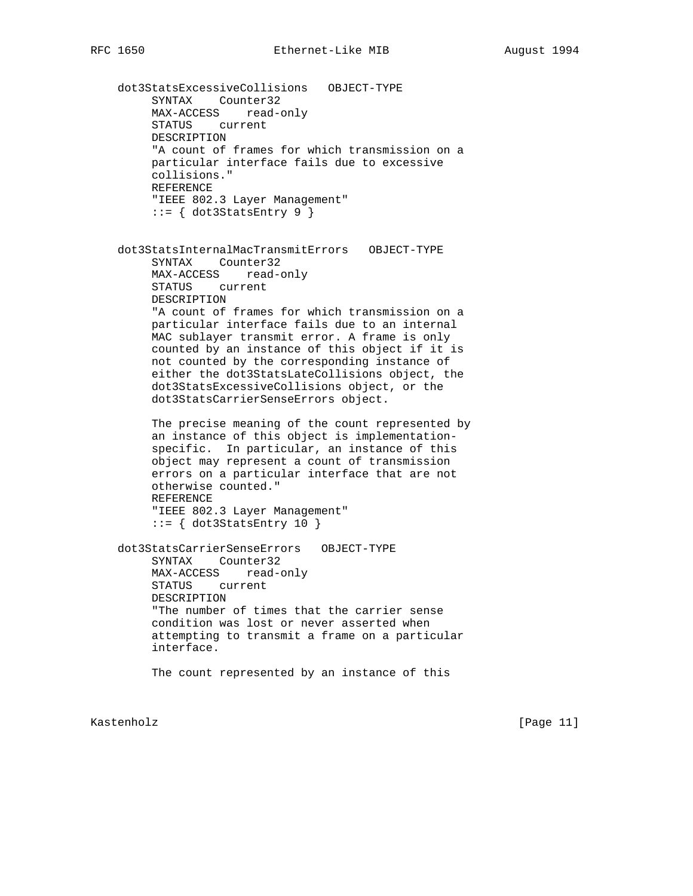dot3StatsExcessiveCollisions OBJECT-TYPE SYNTAX Counter32 MAX-ACCESS read-only STATUS current DESCRIPTION "A count of frames for which transmission on a particular interface fails due to excessive collisions." REFERENCE "IEEE 802.3 Layer Management"  $::= \{ dot3StatsEntry 9 \}$  dot3StatsInternalMacTransmitErrors OBJECT-TYPE SYNTAX Counter32 MAX-ACCESS read-only STATUS current DESCRIPTION "A count of frames for which transmission on a particular interface fails due to an internal MAC sublayer transmit error. A frame is only counted by an instance of this object if it is not counted by the corresponding instance of either the dot3StatsLateCollisions object, the dot3StatsExcessiveCollisions object, or the dot3StatsCarrierSenseErrors object. The precise meaning of the count represented by an instance of this object is implementation specific. In particular, an instance of this object may represent a count of transmission errors on a particular interface that are not otherwise counted." REFERENCE "IEEE 802.3 Layer Management"  $::=$  { dot3StatsEntry 10 } dot3StatsCarrierSenseErrors OBJECT-TYPE SYNTAX Counter32 MAX-ACCESS read-only STATUS current DESCRIPTION "The number of times that the carrier sense condition was lost or never asserted when attempting to transmit a frame on a particular interface. The count represented by an instance of this

Kastenholz [Page 11]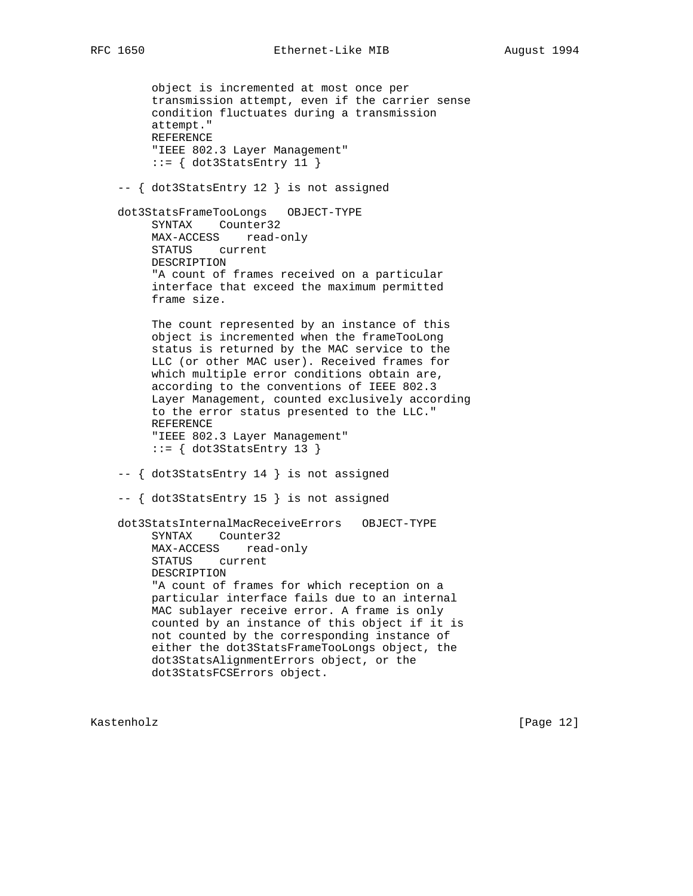object is incremented at most once per transmission attempt, even if the carrier sense condition fluctuates during a transmission attempt." REFERENCE "IEEE 802.3 Layer Management"  $::= \{ dot3StatsEntry 11 \}$  -- { dot3StatsEntry 12 } is not assigned dot3StatsFrameTooLongs OBJECT-TYPE SYNTAX Counter32 MAX-ACCESS read-only STATUS current DESCRIPTION "A count of frames received on a particular interface that exceed the maximum permitted frame size. The count represented by an instance of this object is incremented when the frameTooLong status is returned by the MAC service to the LLC (or other MAC user). Received frames for which multiple error conditions obtain are, according to the conventions of IEEE 802.3 Layer Management, counted exclusively according to the error status presented to the LLC." REFERENCE "IEEE 802.3 Layer Management"  $::=$  { dot3StatsEntry 13 } -- { dot3StatsEntry 14 } is not assigned -- { dot3StatsEntry 15 } is not assigned dot3StatsInternalMacReceiveErrors OBJECT-TYPE SYNTAX Counter32 MAX-ACCESS read-only STATUS current DESCRIPTION "A count of frames for which reception on a particular interface fails due to an internal MAC sublayer receive error. A frame is only counted by an instance of this object if it is not counted by the corresponding instance of either the dot3StatsFrameTooLongs object, the dot3StatsAlignmentErrors object, or the dot3StatsFCSErrors object.

Kastenholz [Page 12]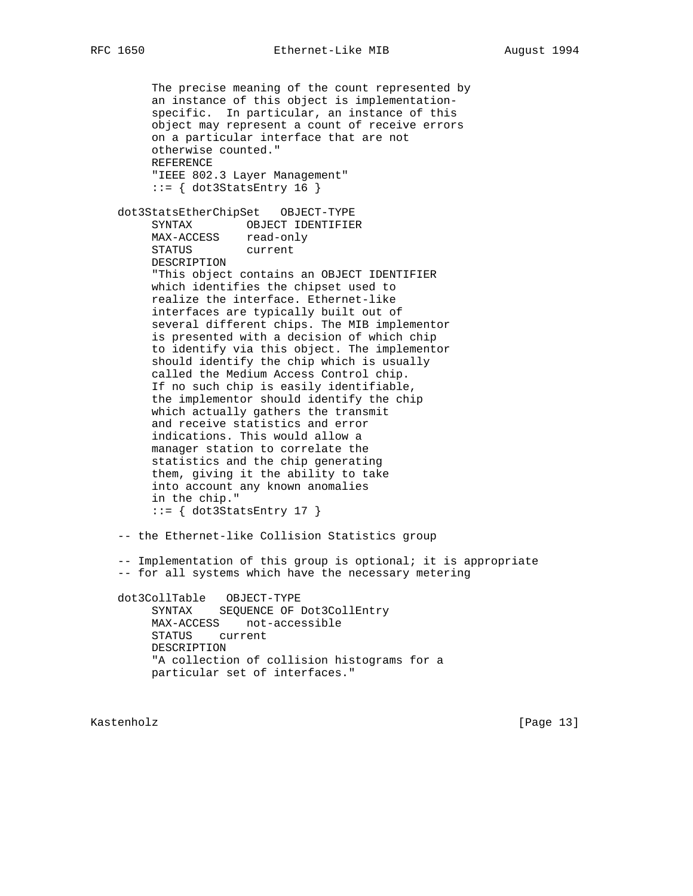The precise meaning of the count represented by an instance of this object is implementation specific. In particular, an instance of this object may represent a count of receive errors on a particular interface that are not otherwise counted." REFERENCE "IEEE 802.3 Layer Management"  $::=$  { dot3StatsEntry 16 }

 dot3StatsEtherChipSet OBJECT-TYPE SYNTAX OBJECT IDENTIFIER MAX-ACCESS read-only STATUS current DESCRIPTION "This object contains an OBJECT IDENTIFIER which identifies the chipset used to realize the interface. Ethernet-like interfaces are typically built out of several different chips. The MIB implementor is presented with a decision of which chip to identify via this object. The implementor should identify the chip which is usually called the Medium Access Control chip. If no such chip is easily identifiable, the implementor should identify the chip which actually gathers the transmit and receive statistics and error indications. This would allow a manager station to correlate the statistics and the chip generating them, giving it the ability to take into account any known anomalies in the chip."  $::= \{ dot3StatsEntry 17 \}$ 

-- the Ethernet-like Collision Statistics group

 -- Implementation of this group is optional; it is appropriate -- for all systems which have the necessary metering

 dot3CollTable OBJECT-TYPE SYNTAX SEQUENCE OF Dot3CollEntry MAX-ACCESS not-accessible STATUS current DESCRIPTION "A collection of collision histograms for a particular set of interfaces."

Kastenholz [Page 13]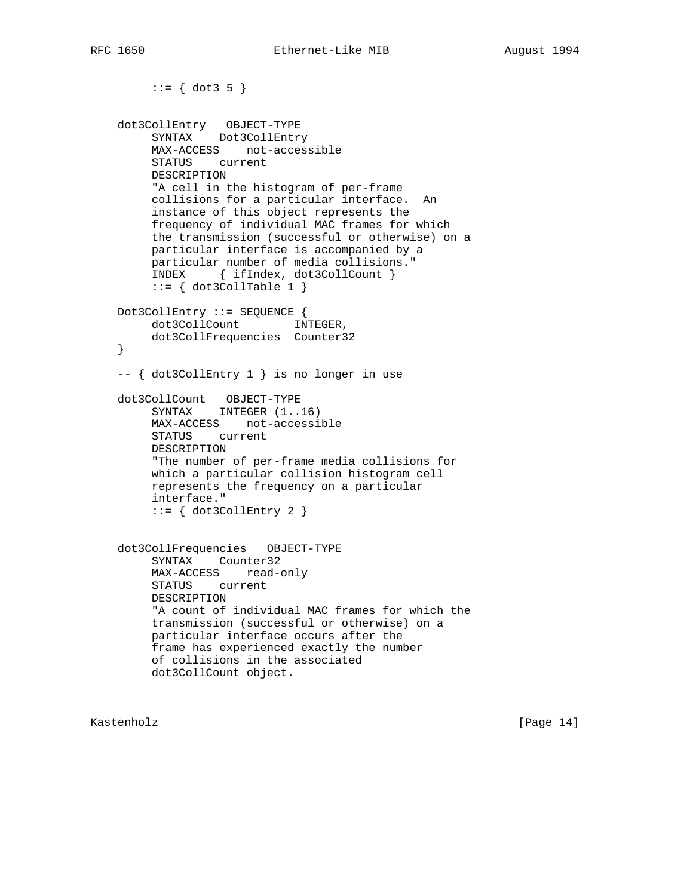```
::= \{ dot3 5 \} dot3CollEntry OBJECT-TYPE
 SYNTAX Dot3CollEntry
         MAX-ACCESS not-accessible
         STATUS current
         DESCRIPTION
         "A cell in the histogram of per-frame
         collisions for a particular interface. An
         instance of this object represents the
         frequency of individual MAC frames for which
         the transmission (successful or otherwise) on a
         particular interface is accompanied by a
         particular number of media collisions."
         INDEX { ifIndex, dot3CollCount }
        ::= \{ dot3CollTable 1 \} Dot3CollEntry ::= SEQUENCE {
        dot3CollCount INTEGER,
         dot3CollFrequencies Counter32
    }
    -- { dot3CollEntry 1 } is no longer in use
 dot3CollCount OBJECT-TYPE
SYNTAX INTEGER (1..16) MAX-ACCESS not-accessible
         STATUS current
         DESCRIPTION
         "The number of per-frame media collisions for
         which a particular collision histogram cell
         represents the frequency on a particular
         interface."
        ::= \{ dot3CollEntry 2 \} dot3CollFrequencies OBJECT-TYPE
         SYNTAX Counter32
         MAX-ACCESS read-only
         STATUS current
         DESCRIPTION
         "A count of individual MAC frames for which the
         transmission (successful or otherwise) on a
         particular interface occurs after the
         frame has experienced exactly the number
         of collisions in the associated
         dot3CollCount object.
```
Kastenholz [Page 14]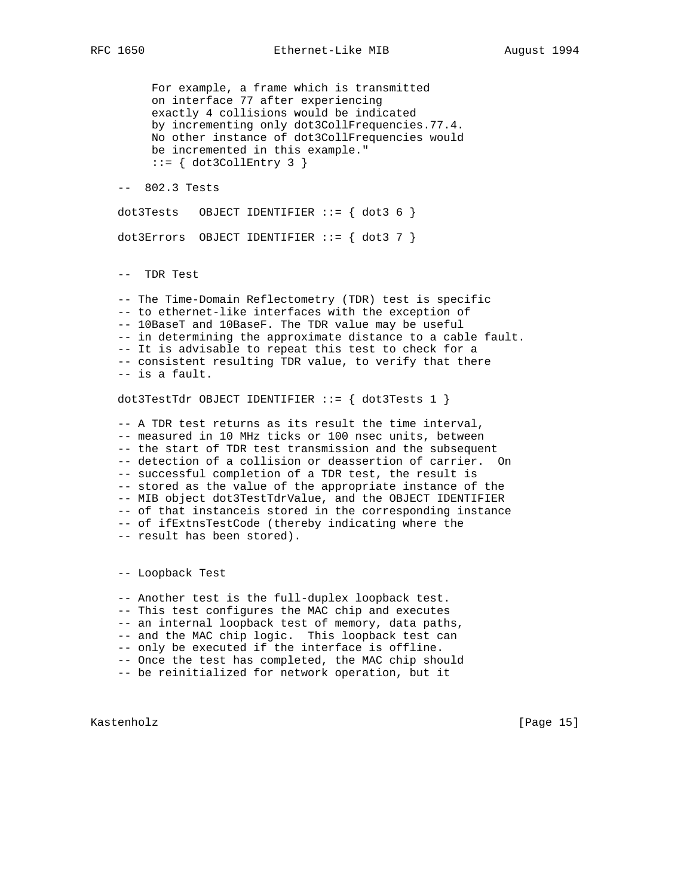For example, a frame which is transmitted on interface 77 after experiencing exactly 4 collisions would be indicated by incrementing only dot3CollFrequencies.77.4. No other instance of dot3CollFrequencies would be incremented in this example."  $::= \{ dot3CollEntry 3 \}$ 

-- 802.3 Tests

 $dot3Tests$  OBJECT IDENTIFIER ::= {  $dot3 6$  }

 $dot3$ Errors OBJECT IDENTIFIER ::= {  $dot3$  7 }

-- TDR Test

 -- The Time-Domain Reflectometry (TDR) test is specific -- to ethernet-like interfaces with the exception of -- 10BaseT and 10BaseF. The TDR value may be useful -- in determining the approximate distance to a cable fault. -- It is advisable to repeat this test to check for a -- consistent resulting TDR value, to verify that there -- is a fault.

dot3TestTdr OBJECT IDENTIFIER  $::=$  { dot3Tests 1 }

 -- A TDR test returns as its result the time interval, -- measured in 10 MHz ticks or 100 nsec units, between -- the start of TDR test transmission and the subsequent -- detection of a collision or deassertion of carrier. On -- successful completion of a TDR test, the result is -- stored as the value of the appropriate instance of the -- MIB object dot3TestTdrValue, and the OBJECT IDENTIFIER -- of that instanceis stored in the corresponding instance -- of ifExtnsTestCode (thereby indicating where the -- result has been stored).

-- Loopback Test

 -- Another test is the full-duplex loopback test. -- This test configures the MAC chip and executes -- an internal loopback test of memory, data paths, -- and the MAC chip logic. This loopback test can -- only be executed if the interface is offline. -- Once the test has completed, the MAC chip should -- be reinitialized for network operation, but it

Kastenholz [Page 15]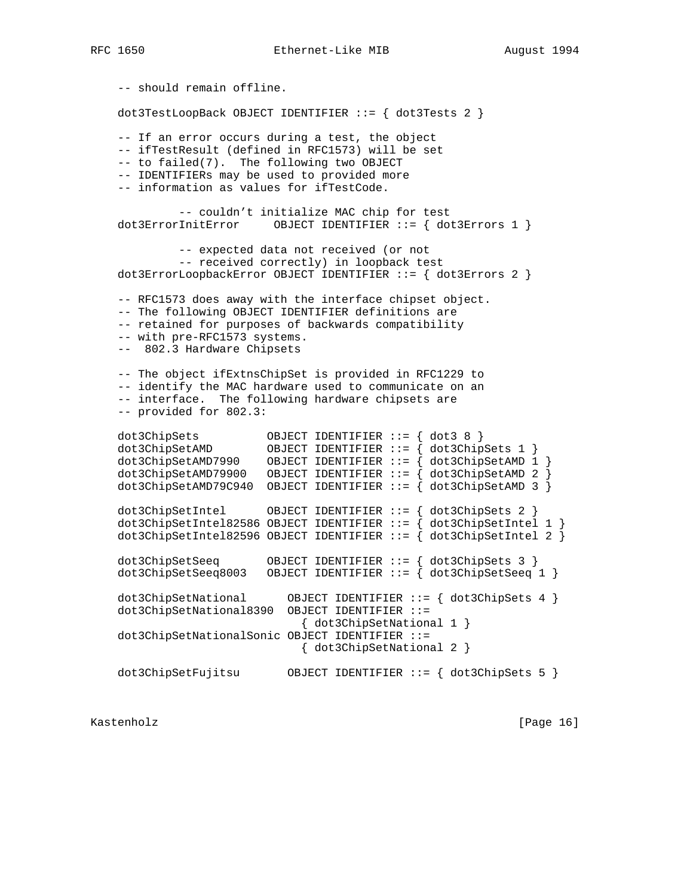-- should remain offline. dot3TestLoopBack OBJECT IDENTIFIER ::= { dot3Tests 2 } -- If an error occurs during a test, the object -- ifTestResult (defined in RFC1573) will be set -- to failed(7). The following two OBJECT -- IDENTIFIERs may be used to provided more -- information as values for ifTestCode. -- couldn't initialize MAC chip for test dot3ErrorInitError OBJECT IDENTIFIER ::= { dot3Errors 1 } -- expected data not received (or not -- received correctly) in loopback test dot3ErrorLoopbackError OBJECT IDENTIFIER ::= { dot3Errors 2 } -- RFC1573 does away with the interface chipset object. -- The following OBJECT IDENTIFIER definitions are -- retained for purposes of backwards compatibility -- with pre-RFC1573 systems. -- 802.3 Hardware Chipsets -- The object ifExtnsChipSet is provided in RFC1229 to -- identify the MAC hardware used to communicate on an -- interface. The following hardware chipsets are -- provided for 802.3: dot3ChipSets OBJECT IDENTIFIER ::= { dot3 8 } dot3ChipSetAMD OBJECT IDENTIFIER ::= { dot3ChipSets 1 } dot3ChipSetAMD7990 OBJECT IDENTIFIER ::= { dot3ChipSetAMD 1 } dot3ChipSetAMD79900 OBJECT IDENTIFIER  $:=$   $\frac{1}{4}$  dot3ChipSetAMD 2  $\frac{1}{2}$  dot3ChipSetAMD79C940 OBJECT IDENTIFIER ::= { dot3ChipSetAMD 3 } dot3ChipSetIntel OBJECT IDENTIFIER ::= { dot3ChipSets 2 } dot3ChipSetIntel82586 OBJECT IDENTIFIER  $::=$  { dot3ChipSetIntel 1 } dot3ChipSetIntel82596 OBJECT IDENTIFIER ::=  $\{$  dot3ChipSetIntel 2  $\}$  dot3ChipSetSeeq OBJECT IDENTIFIER ::= { dot3ChipSets 3 } dot3ChipSetSeeq8003 OBJECT IDENTIFIER  $:= \{ dot3ChipsetSeeq 1 \}$  dot3ChipSetNational OBJECT IDENTIFIER ::= { dot3ChipSets 4 } dot3ChipSetNational8390 OBJECT IDENTIFIER ::= { dot3ChipSetNational 1 } dot3ChipSetNationalSonic OBJECT IDENTIFIER ::= { dot3ChipSetNational 2 } dot3ChipSetFujitsu OBJECT IDENTIFIER ::= { dot3ChipSets 5 }

Kastenholz [Page 16]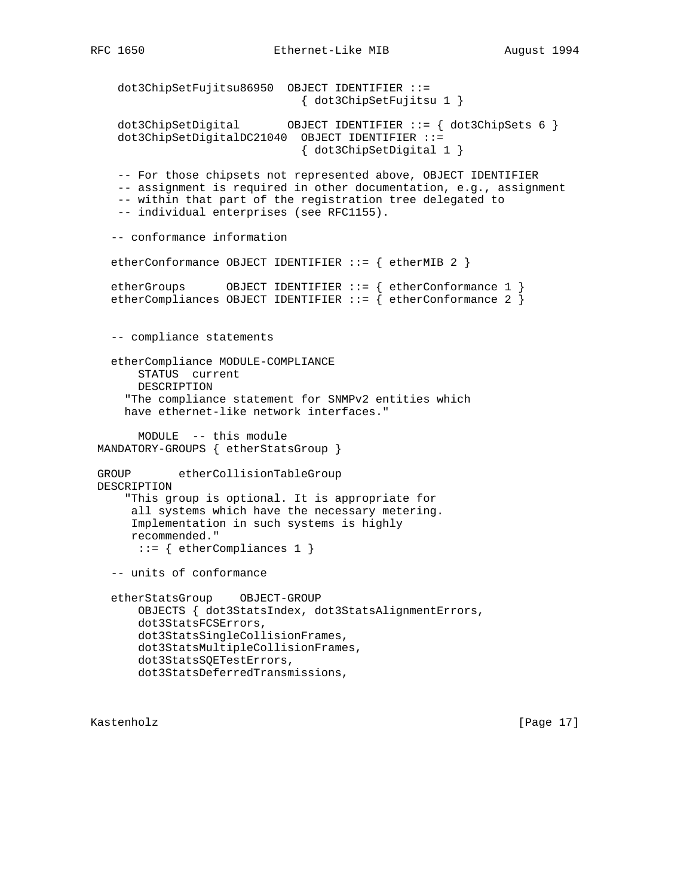```
 dot3ChipSetFujitsu86950 OBJECT IDENTIFIER ::=
                               { dot3ChipSetFujitsu 1 }
    dot3ChipSetDigital OBJECT IDENTIFIER ::= { dot3ChipSets 6 }
    dot3ChipSetDigitalDC21040 OBJECT IDENTIFIER ::=
                               { dot3ChipSetDigital 1 }
    -- For those chipsets not represented above, OBJECT IDENTIFIER
    -- assignment is required in other documentation, e.g., assignment
    -- within that part of the registration tree delegated to
    -- individual enterprises (see RFC1155).
   -- conformance information
  etherConformance OBJECT IDENTIFIER ::= { etherMIB 2 }
   etherGroups OBJECT IDENTIFIER ::= { etherConformance 1 }
  etherCompliances OBJECT IDENTIFIER ::= { etherConformance 2 }
   -- compliance statements
   etherCompliance MODULE-COMPLIANCE
       STATUS current
       DESCRIPTION
     "The compliance statement for SNMPv2 entities which
     have ethernet-like network interfaces."
       MODULE -- this module
 MANDATORY-GROUPS { etherStatsGroup }
 GROUP etherCollisionTableGroup
 DESCRIPTION
     "This group is optional. It is appropriate for
      all systems which have the necessary metering.
      Implementation in such systems is highly
     recommended."
      ::= { etherCompliances 1 }
   -- units of conformance
   etherStatsGroup OBJECT-GROUP
       OBJECTS { dot3StatsIndex, dot3StatsAlignmentErrors,
       dot3StatsFCSErrors,
       dot3StatsSingleCollisionFrames,
       dot3StatsMultipleCollisionFrames,
       dot3StatsSQETestErrors,
       dot3StatsDeferredTransmissions,
```
Kastenholz [Page 17]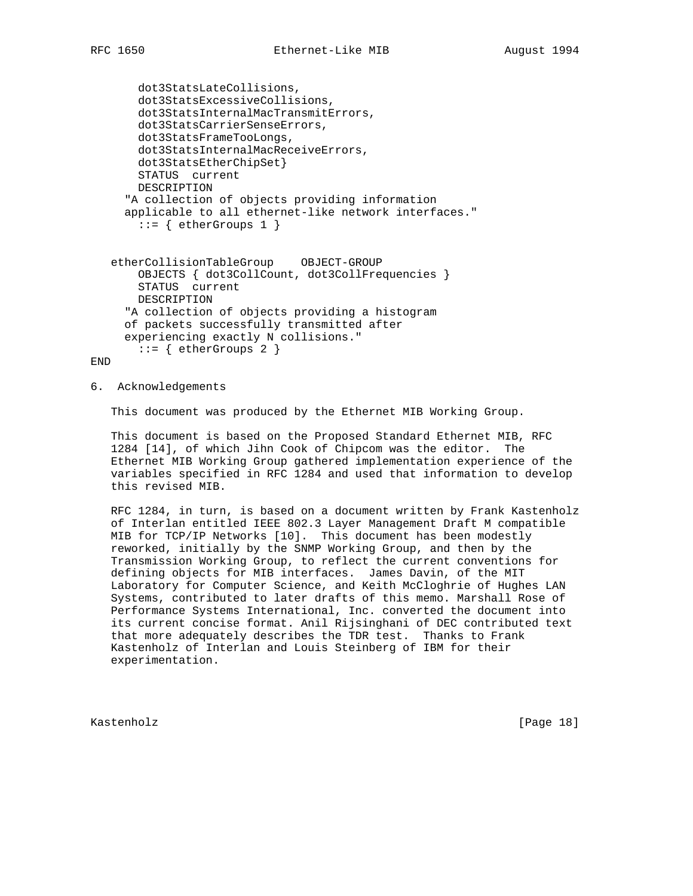dot3StatsLateCollisions, dot3StatsExcessiveCollisions, dot3StatsInternalMacTransmitErrors, dot3StatsCarrierSenseErrors, dot3StatsFrameTooLongs, dot3StatsInternalMacReceiveErrors, dot3StatsEtherChipSet} STATUS current DESCRIPTION "A collection of objects providing information applicable to all ethernet-like network interfaces."  $::=$  { etherGroups 1 } etherCollisionTableGroup OBJECT-GROUP

 OBJECTS { dot3CollCount, dot3CollFrequencies } STATUS current DESCRIPTION "A collection of objects providing a histogram of packets successfully transmitted after experiencing exactly N collisions."  $::=$  { etherGroups 2 }

END

6. Acknowledgements

This document was produced by the Ethernet MIB Working Group.

 This document is based on the Proposed Standard Ethernet MIB, RFC 1284 [14], of which Jihn Cook of Chipcom was the editor. The Ethernet MIB Working Group gathered implementation experience of the variables specified in RFC 1284 and used that information to develop this revised MIB.

 RFC 1284, in turn, is based on a document written by Frank Kastenholz of Interlan entitled IEEE 802.3 Layer Management Draft M compatible MIB for TCP/IP Networks [10]. This document has been modestly reworked, initially by the SNMP Working Group, and then by the Transmission Working Group, to reflect the current conventions for defining objects for MIB interfaces. James Davin, of the MIT Laboratory for Computer Science, and Keith McCloghrie of Hughes LAN Systems, contributed to later drafts of this memo. Marshall Rose of Performance Systems International, Inc. converted the document into its current concise format. Anil Rijsinghani of DEC contributed text that more adequately describes the TDR test. Thanks to Frank Kastenholz of Interlan and Louis Steinberg of IBM for their experimentation.

Kastenholz [Page 18]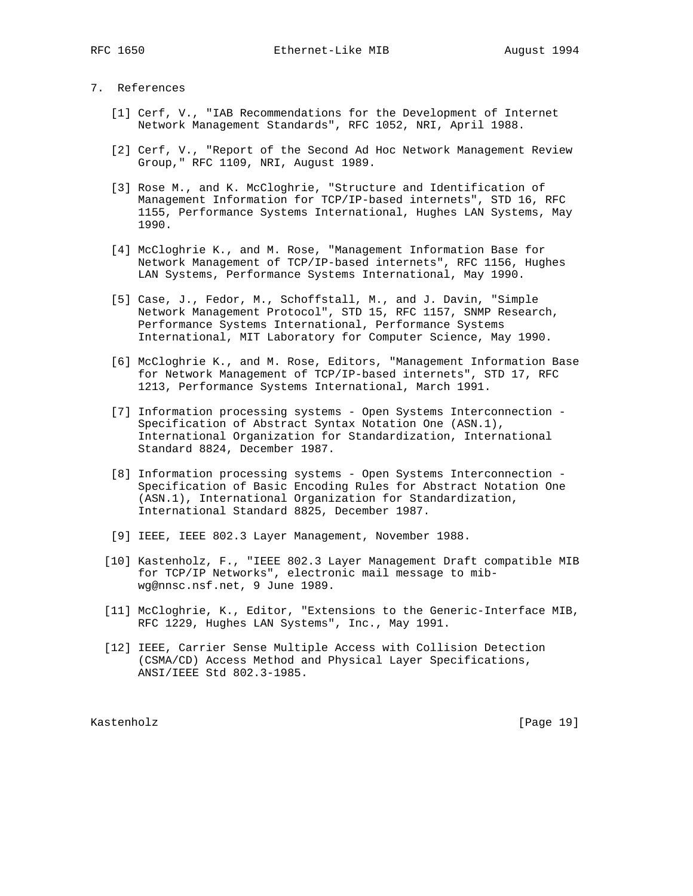# 7. References

- [1] Cerf, V., "IAB Recommendations for the Development of Internet Network Management Standards", RFC 1052, NRI, April 1988.
- [2] Cerf, V., "Report of the Second Ad Hoc Network Management Review Group," RFC 1109, NRI, August 1989.
- [3] Rose M., and K. McCloghrie, "Structure and Identification of Management Information for TCP/IP-based internets", STD 16, RFC 1155, Performance Systems International, Hughes LAN Systems, May 1990.
- [4] McCloghrie K., and M. Rose, "Management Information Base for Network Management of TCP/IP-based internets", RFC 1156, Hughes LAN Systems, Performance Systems International, May 1990.
- [5] Case, J., Fedor, M., Schoffstall, M., and J. Davin, "Simple Network Management Protocol", STD 15, RFC 1157, SNMP Research, Performance Systems International, Performance Systems International, MIT Laboratory for Computer Science, May 1990.
- [6] McCloghrie K., and M. Rose, Editors, "Management Information Base for Network Management of TCP/IP-based internets", STD 17, RFC 1213, Performance Systems International, March 1991.
- [7] Information processing systems Open Systems Interconnection Specification of Abstract Syntax Notation One (ASN.1), International Organization for Standardization, International Standard 8824, December 1987.
- [8] Information processing systems Open Systems Interconnection Specification of Basic Encoding Rules for Abstract Notation One (ASN.1), International Organization for Standardization, International Standard 8825, December 1987.
- [9] IEEE, IEEE 802.3 Layer Management, November 1988.
- [10] Kastenholz, F., "IEEE 802.3 Layer Management Draft compatible MIB for TCP/IP Networks", electronic mail message to mib wg@nnsc.nsf.net, 9 June 1989.
- [11] McCloghrie, K., Editor, "Extensions to the Generic-Interface MIB, RFC 1229, Hughes LAN Systems", Inc., May 1991.
- [12] IEEE, Carrier Sense Multiple Access with Collision Detection (CSMA/CD) Access Method and Physical Layer Specifications, ANSI/IEEE Std 802.3-1985.

Kastenholz [Page 19]